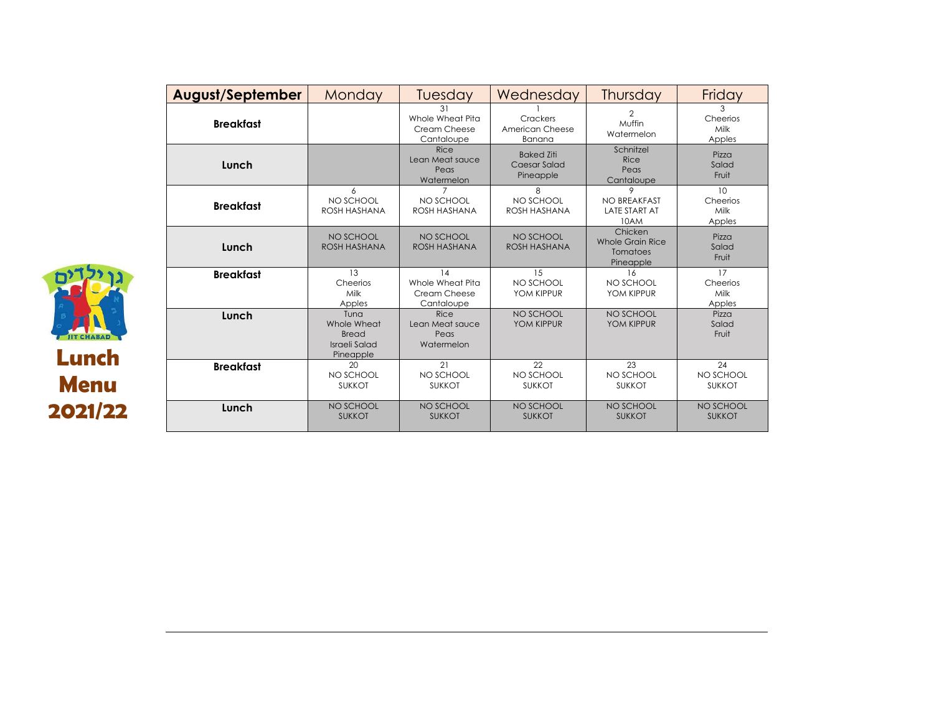| <b>CHARA</b><br>Lunch<br>Menu |
|-------------------------------|
| 2021/22                       |

| <b>August/September</b> | Monday                                                            | Tuesday                                              | Wednesday                                      | Thursday                                             | Friday                           |
|-------------------------|-------------------------------------------------------------------|------------------------------------------------------|------------------------------------------------|------------------------------------------------------|----------------------------------|
| <b>Breakfast</b>        |                                                                   | 31<br>Whole Wheat Pita<br>Cream Cheese<br>Cantaloupe | Crackers<br>American Cheese<br>Banana          | $\mathfrak{D}$<br>Muffin<br>Watermelon               | 3<br>Cheerios<br>Milk<br>Apples  |
| Lunch                   |                                                                   | Rice<br>Lean Meat sauce<br>Peas<br>Watermelon        | <b>Baked Ziti</b><br>Caesar Salad<br>Pineapple | Schnitzel<br><b>Rice</b><br>Peas<br>Cantaloupe       | Pizza<br>Salad<br>Fruit          |
| <b>Breakfast</b>        | 6<br>NO SCHOOL<br>ROSH HASHANA                                    | 7<br>NO SCHOOL<br>ROSH HASHANA                       | 8<br>NO SCHOOL<br>ROSH HASHANA                 | 9<br>NO BREAKFAST<br><b>LATE START AT</b><br>10AM    | 10<br>Cheerios<br>Milk<br>Apples |
| Lunch                   | NO SCHOOL<br>ROSH HASHANA                                         | NO SCHOOL<br>ROSH HASHANA                            | NO SCHOOL<br>ROSH HASHANA                      | Chicken<br>Whole Grain Rice<br>Tomatoes<br>Pineapple | Pizza<br>Salad<br>Fruit          |
| <b>Breakfast</b>        | 13<br>Cheerios<br>Milk<br>Apples                                  | 14<br>Whole Wheat Pita<br>Cream Cheese<br>Cantaloupe | 15<br>NO SCHOOL<br>YOM KIPPUR                  | 16<br>NO SCHOOL<br>YOM KIPPUR                        | 17<br>Cheerios<br>Milk<br>Apples |
| Lunch                   | Tuna<br>Whole Wheat<br><b>Bread</b><br>Israeli Salad<br>Pineapple | Rice<br>Lean Meat sauce<br>Peas<br>Watermelon        | NO SCHOOL<br>YOM KIPPUR                        | NO SCHOOL<br>YOM KIPPUR                              | Pizza<br>Salad<br>Fruit          |
| <b>Breakfast</b>        | 20<br>NO SCHOOL<br><b>SUKKOT</b>                                  | 21<br>NO SCHOOL<br><b>SUKKOT</b>                     | 22<br>NO SCHOOL<br><b>SUKKOT</b>               | 23<br>NO SCHOOL<br><b>SUKKOT</b>                     | 24<br>NO SCHOOL<br><b>SUKKOT</b> |
| Lunch                   | NO SCHOOL<br><b>SUKKOT</b>                                        | NO SCHOOL<br><b>SUKKOT</b>                           | NO SCHOOL<br><b>SUKKOT</b>                     | NO SCHOOL<br><b>SUKKOT</b>                           | NO SCHOOL<br><b>SUKKOT</b>       |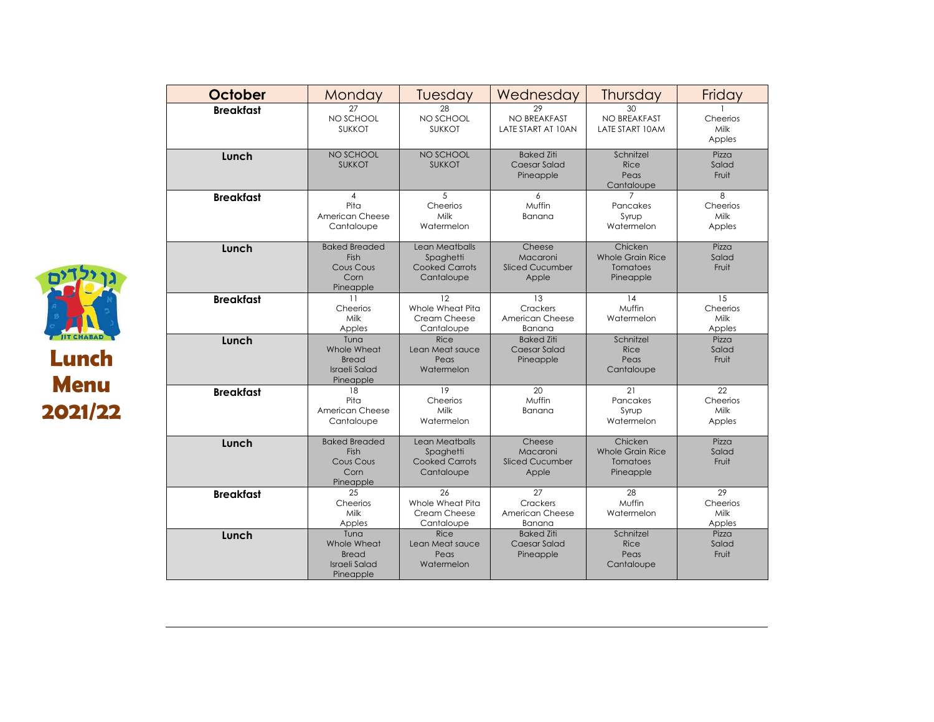| October          | Monday                                                            | Tuesday                                                            | Wednesday                                             | Thursday                                                    | Friday                           |
|------------------|-------------------------------------------------------------------|--------------------------------------------------------------------|-------------------------------------------------------|-------------------------------------------------------------|----------------------------------|
| <b>Breakfast</b> | 27<br>NO SCHOOL<br><b>SUKKOT</b>                                  | 28<br>NO SCHOOL<br><b>SUKKOT</b>                                   | 29<br>NO BREAKFAST<br>LATE START AT 10AN              | $30^{\circ}$<br>NO BREAKFAST<br>LATE START 10AM             | Cheerios<br>Milk<br>Apples       |
| Lunch            | NO SCHOOL<br><b>SUKKOT</b>                                        | NO SCHOOL<br><b>SUKKOT</b>                                         | <b>Baked Ziti</b><br>Caesar Salad<br>Pineapple        | Schnitzel<br><b>Rice</b><br>Peas<br>Cantaloupe              | Pizza<br>Salad<br>Fruit          |
| <b>Breakfast</b> | $\overline{4}$<br>Pita<br>American Cheese<br>Cantaloupe           | 5<br>Cheerios<br>Milk<br>Watermelon                                | 6<br>Muffin<br>Banana                                 | Pancakes<br>Syrup<br>Watermelon                             | 8<br>Cheerios<br>Milk<br>Apples  |
| Lunch            | <b>Baked Breaded</b><br>Fish<br>Cous Cous<br>Corn<br>Pineapple    | Lean Meatballs<br>Spaghetti<br><b>Cooked Carrots</b><br>Cantaloupe | Cheese<br>Macaroni<br><b>Sliced Cucumber</b><br>Apple | Chicken<br><b>Whole Grain Rice</b><br>Tomatoes<br>Pineapple | Pizza<br>Salad<br>Fruit          |
| <b>Breakfast</b> | 11<br>Cheerios<br>Milk<br>Apples                                  | 12<br>Whole Wheat Pita<br>Cream Cheese<br>Cantaloupe               | 13<br>Crackers<br>American Cheese<br>Banana           | 14<br>Muffin<br>Watermelon                                  | 15<br>Cheerios<br>Milk<br>Apples |
| Lunch            | Tuna<br>Whole Wheat<br><b>Bread</b><br>Israeli Salad<br>Pineapple | Rice<br>Lean Meat sauce<br>Peas<br>Watermelon                      | <b>Baked Ziti</b><br><b>Caesar Salad</b><br>Pineapple | Schnitzel<br>Rice<br>Peas<br>Cantaloupe                     | Pizza<br>Salad<br>Fruit          |
| <b>Breakfast</b> | 18<br>Pita<br>American Cheese<br>Cantaloupe                       | 19<br>Cheerios<br>Milk<br>Watermelon                               | 20<br>Muffin<br>Banana                                | 21<br>Pancakes<br>Syrup<br>Watermelon                       | 22<br>Cheerios<br>Milk<br>Apples |
| Lunch            | <b>Baked Breaded</b><br>Fish<br>Cous Cous<br>Corn<br>Pineapple    | Lean Meatballs<br>Spaghetti<br><b>Cooked Carrots</b><br>Cantaloupe | Cheese<br>Macaroni<br><b>Sliced Cucumber</b><br>Apple | Chicken<br><b>Whole Grain Rice</b><br>Tomatoes<br>Pineapple | Pizza<br>Salad<br>Fruit          |
| <b>Breakfast</b> | 25<br>Cheerios<br>Milk<br>Apples                                  | 26<br>Whole Wheat Pita<br>Cream Cheese<br>Cantaloupe               | 27<br>Crackers<br>American Cheese<br>Banana           | 28<br>Muffin<br>Watermelon                                  | 29<br>Cheerios<br>Milk<br>Apples |
| Lunch            | Tuna<br>Whole Wheat<br><b>Bread</b><br>Israeli Salad<br>Pineapple | Rice<br>Lean Meat sauce<br>Peas<br>Watermelon                      | <b>Baked Ziti</b><br>Caesar Salad<br>Pineapple        | Schnitzel<br><b>Rice</b><br>Peas<br>Cantaloupe              | Pizza<br>Salad<br>Fruit          |

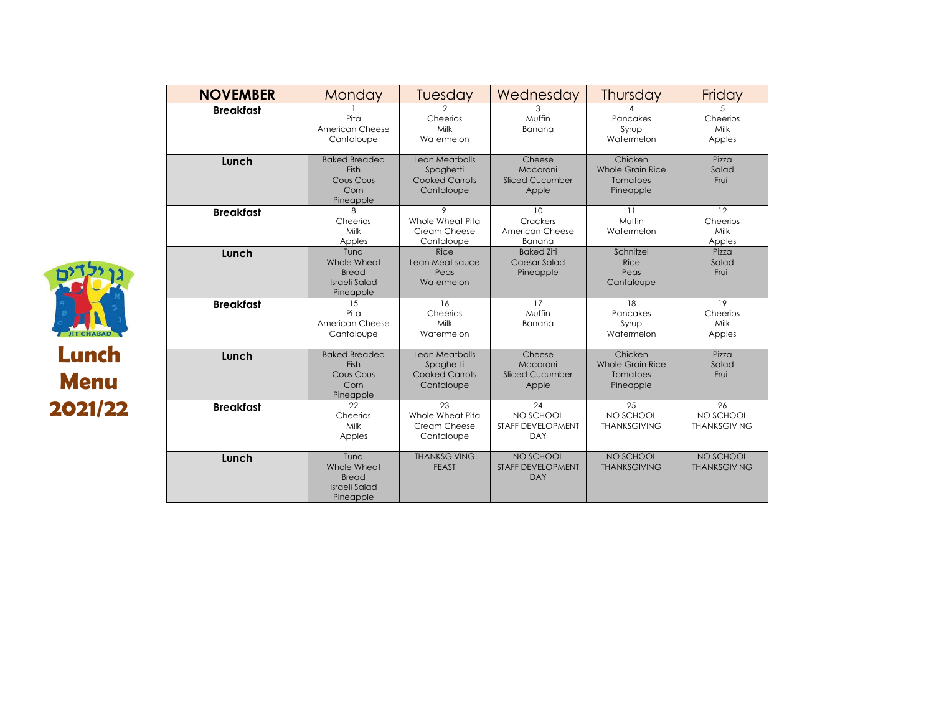| <b>NOVEMBER</b>  | Monday                                                                   | Tuesday                                                            | Wednesday                                             | Thursday                                             | Friday                                        |
|------------------|--------------------------------------------------------------------------|--------------------------------------------------------------------|-------------------------------------------------------|------------------------------------------------------|-----------------------------------------------|
| <b>Breakfast</b> | Pita<br>American Cheese<br>Cantaloupe                                    | 2<br>Cheerios<br>Milk<br>Watermelon                                | 3<br>Muffin<br>Banana                                 | Pancakes<br>Syrup<br>Watermelon                      | 5<br>Cheerios<br>Milk<br>Apples               |
| Lunch            | <b>Baked Breaded</b><br>Fish<br>Cous Cous<br>Corn<br>Pineapple           | Lean Meatballs<br>Spaghetti<br><b>Cooked Carrots</b><br>Cantaloupe | Cheese<br>Macaroni<br><b>Sliced Cucumber</b><br>Apple | Chicken<br>Whole Grain Rice<br>Tomatoes<br>Pineapple | Pizza<br>Salad<br>Fruit                       |
| <b>Breakfast</b> | 8<br>Cheerios<br>Milk<br>Apples                                          | 9<br>Whole Wheat Pita<br>Cream Cheese<br>Cantaloupe                | 10<br>Crackers<br>American Cheese<br>Banana           | 11<br>Muffin<br>Watermelon                           | 12<br>Cheerios<br>Milk<br>Apples              |
| Lunch            | Tuna<br>Whole Wheat<br><b>Bread</b><br><b>Israeli Salad</b><br>Pineapple | Rice<br>Lean Meat sauce<br>Peas<br>Watermelon                      | <b>Baked Ziti</b><br>Caesar Salad<br>Pineapple        | Schnitzel<br>Rice<br>Peas<br>Cantaloupe              | Pizza<br>Salad<br>Fruit                       |
| <b>Breakfast</b> | 15<br>Pita<br>American Cheese<br>Cantaloupe                              | 16<br>Cheerios<br>Milk<br>Watermelon                               | 17<br>Muffin<br>Banana                                | 18<br>Pancakes<br>Syrup<br>Watermelon                | 19<br>Cheerios<br>Milk<br>Apples              |
| Lunch            | <b>Baked Breaded</b><br>Fish<br>Cous Cous<br>Corn<br>Pineapple           | Lean Meatballs<br>Spaghetti<br><b>Cooked Carrots</b><br>Cantaloupe | Cheese<br>Macaroni<br><b>Sliced Cucumber</b><br>Apple | Chicken<br>Whole Grain Rice<br>Tomatoes<br>Pineapple | Pizza<br>Salad<br>Fruit                       |
| <b>Breakfast</b> | 22<br>Cheerios<br>Milk<br>Apples                                         | 23<br>Whole Wheat Pita<br>Cream Cheese<br>Cantaloupe               | 24<br>NO SCHOOL<br><b>STAFF DEVELOPMENT</b><br>DAY    | 25<br>NO SCHOOL<br><b><i>THANKSGIVING</i></b>        | 26<br>NO SCHOOL<br><b><i>THANKSGIVING</i></b> |
| Lunch            | Tuna<br>Whole Wheat<br><b>Bread</b><br><b>Israeli Salad</b><br>Pineapple | <b>THANKSGIVING</b><br><b>FEAST</b>                                | NO SCHOOL<br><b>STAFF DEVELOPMENT</b><br><b>DAY</b>   | NO SCHOOL<br><b>THANKSGIVING</b>                     | NO SCHOOL<br><b>THANKSGIVING</b>              |

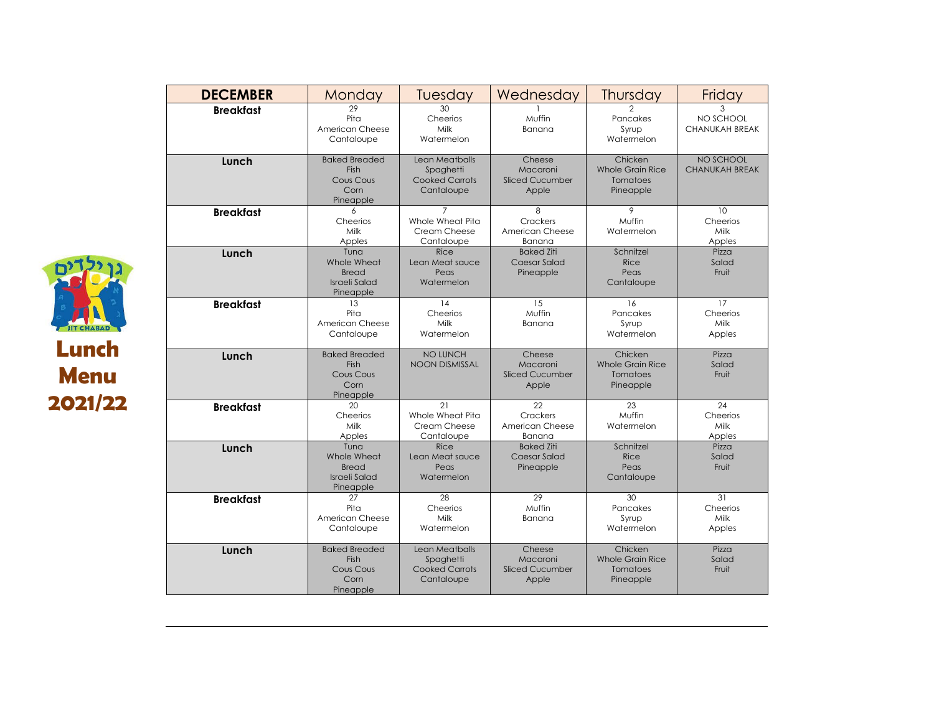| <b>DECEMBER</b>  | Monday                                                                | Tuesday                                                            | Wednesday                                             | Thursday                                                    | Friday                                  |
|------------------|-----------------------------------------------------------------------|--------------------------------------------------------------------|-------------------------------------------------------|-------------------------------------------------------------|-----------------------------------------|
| <b>Breakfast</b> | 29<br>Pita<br>American Cheese<br>Cantaloupe                           | 30<br>Cheerios<br>Milk<br>Watermelon                               | Muffin<br>Banana                                      | Pancakes<br>Syrup<br>Watermelon                             | 3<br>NO SCHOOL<br><b>CHANUKAH BREAK</b> |
| Lunch            | <b>Baked Breaded</b><br>Fish<br>Cous Cous<br>Corn<br>Pineapple        | Lean Meatballs<br>Spaghetti<br><b>Cooked Carrots</b><br>Cantaloupe | Cheese<br>Macaroni<br><b>Sliced Cucumber</b><br>Apple | Chicken<br><b>Whole Grain Rice</b><br>Tomatoes<br>Pineapple | NO SCHOOL<br><b>CHANUKAH BREAK</b>      |
| <b>Breakfast</b> | 6<br>Cheerios<br>Milk<br>Apples                                       | 7<br>Whole Wheat Pita<br>Cream Cheese<br>Cantaloupe                | 8<br>Crackers<br>American Cheese<br>Banana            | 9<br>Muffin<br>Watermelon                                   | 10<br>Cheerios<br>Milk<br>Apples        |
| Lunch            | Tuna<br>Whole Wheat<br><b>Bread</b><br>Israeli Salad<br>Pineapple     | <b>Rice</b><br>Lean Meat sauce<br>Peas<br>Watermelon               | <b>Baked Ziti</b><br>Caesar Salad<br>Pineapple        | Schnitzel<br>Rice<br>Peas<br>Cantaloupe                     | Pizza<br>Salad<br>Fruit                 |
| <b>Breakfast</b> | 13<br>Pita<br>American Cheese<br>Cantaloupe                           | 14<br>Cheerios<br>Milk<br>Watermelon                               | 15<br>Muffin<br>Banana                                | 16<br>Pancakes<br>Syrup<br>Watermelon                       | 17<br>Cheerios<br>Milk<br>Apples        |
| Lunch            | <b>Baked Breaded</b><br><b>Fish</b><br>Cous Cous<br>Corn<br>Pineapple | NO LUNCH<br><b>NOON DISMISSAL</b>                                  | Cheese<br>Macaroni<br><b>Sliced Cucumber</b><br>Apple | Chicken<br><b>Whole Grain Rice</b><br>Tomatoes<br>Pineapple | Pizza<br>Salad<br>Fruit                 |
| <b>Breakfast</b> | 20<br>Cheerios<br>Milk<br>Apples                                      | 21<br>Whole Wheat Pita<br>Cream Cheese<br>Cantaloupe               | 22<br>Crackers<br>American Cheese<br>Banana           | 23<br>Muffin<br>Watermelon                                  | 24<br>Cheerios<br>Milk<br>Apples        |
| Lunch            | Tuna<br>Whole Wheat<br><b>Bread</b><br>Israeli Salad<br>Pineapple     | <b>Rice</b><br>Lean Meat sauce<br>Peas<br>Watermelon               | <b>Baked Ziti</b><br>Caesar Salad<br>Pineapple        | Schnitzel<br>Rice<br>Peas<br>Cantaloupe                     | Pizza<br>Salad<br>Fruit                 |
| <b>Breakfast</b> | 27<br>Pita<br>American Cheese<br>Cantaloupe                           | 28<br>Cheerios<br>Milk<br>Watermelon                               | 29<br>Muffin<br>Banana                                | 30<br>Pancakes<br>Syrup<br>Watermelon                       | 31<br>Cheerios<br>Milk<br>Apples        |
| Lunch            | <b>Baked Breaded</b><br>Fish<br>Cous Cous<br>Corn<br>Pineapple        | Lean Meatballs<br>Spaghetti<br><b>Cooked Carrots</b><br>Cantaloupe | Cheese<br>Macaroni<br><b>Sliced Cucumber</b><br>Apple | Chicken<br><b>Whole Grain Rice</b><br>Tomatoes<br>Pineapple | Pizza<br>Salad<br>Fruit                 |

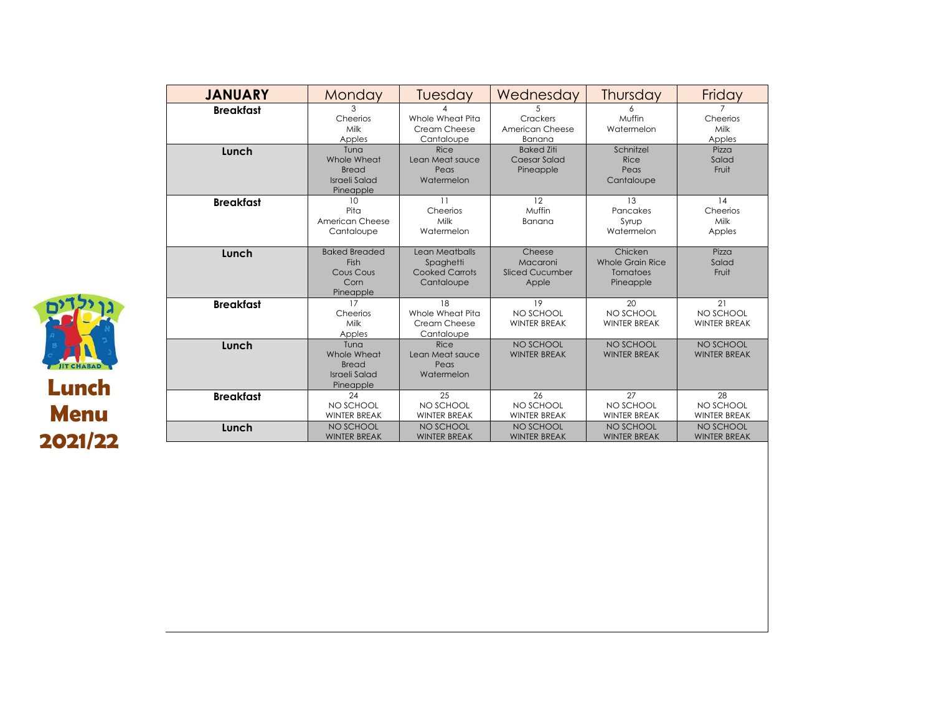| <b>JANUARY</b>   | Monday                                                            | Tuesday                                                     | Wednesday                                      | Thursday                                             | Friday                                 |
|------------------|-------------------------------------------------------------------|-------------------------------------------------------------|------------------------------------------------|------------------------------------------------------|----------------------------------------|
| <b>Breakfast</b> | Cheerios<br>Milk<br>Apples                                        | Whole Wheat Pita<br>Cream Cheese<br>Cantaloupe              | Crackers<br>American Cheese<br>Banana          | Muffin<br>Watermelon                                 | Cheerios<br>Milk<br>Apples             |
| Lunch            | Tuna<br>Whole Wheat<br><b>Bread</b><br>Israeli Salad<br>Pineapple | Rice<br>Lean Meat sauce<br>Peas<br>Watermelon               | <b>Baked Ziti</b><br>Caesar Salad<br>Pineapple | Schnitzel<br>Rice<br>Peas<br>Cantaloupe              | Pizza<br>Salad<br>Fruit                |
| <b>Breakfast</b> | 10<br>Pita<br>American Cheese<br>Cantaloupe                       | 11<br>Cheerios<br>Milk<br>Watermelon                        | 12<br>Muffin<br>Banana                         | 13<br>Pancakes<br>Syrup<br>Watermelon                | 14<br>Cheerios<br>Milk<br>Apples       |
| Lunch            | <b>Baked Breaded</b><br>Fish<br>Cous Cous<br>Corn<br>Pineapple    | Lean Meatballs<br>Spaghetti<br>Cooked Carrots<br>Cantaloupe | Cheese<br>Macaroni<br>Sliced Cucumber<br>Apple | Chicken<br>Whole Grain Rice<br>Tomatoes<br>Pineapple | Pizza<br>Salad<br>Fruit                |
| <b>Breakfast</b> | 17<br>Cheerios<br>Milk<br>Apples                                  | 18<br>Whole Wheat Pita<br>Cream Cheese<br>Cantaloupe        | 19<br>NO SCHOOL<br><b>WINTER BREAK</b>         | 20<br>NO SCHOOL<br><b>WINTER BREAK</b>               | 21<br>NO SCHOOL<br><b>WINTER BREAK</b> |
| Lunch            | Tuna<br>Whole Wheat<br><b>Bread</b><br>Israeli Salad<br>Pineapple | Rice<br>Lean Meat sauce<br>Peas<br>Watermelon               | NO SCHOOL<br><b>WINTER BREAK</b>               | NO SCHOOL<br><b>WINTER BREAK</b>                     | NO SCHOOL<br><b>WINTER BREAK</b>       |
| <b>Breakfast</b> | 24<br>NO SCHOOL<br><b>WINTER BREAK</b>                            | 25<br>NO SCHOOL<br><b>WINTER BREAK</b>                      | 26<br>NO SCHOOL<br><b>WINTER BREAK</b>         | 27<br>NO SCHOOL<br><b>WINTER BREAK</b>               | 28<br>NO SCHOOL<br><b>WINTER BREAK</b> |
| Lunch            | NO SCHOOL<br><b>WINTER BREAK</b>                                  | NO SCHOOL<br><b>WINTER BREAK</b>                            | NO SCHOOL<br><b>WINTER BREAK</b>               | NO SCHOOL<br><b>WINTER BREAK</b>                     | NO SCHOOL<br><b>WINTER BREAK</b>       |

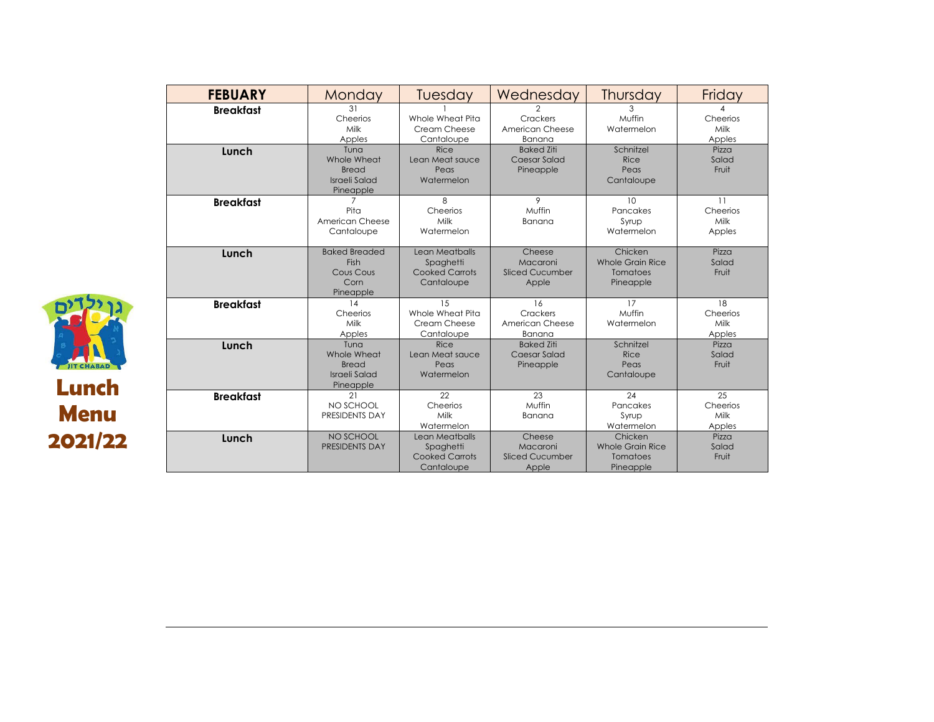| <b>FEBUARY</b>   | Monday                                                                   | Tuesday                                                            | Wednesday                                             | Thursday                                                    | Friday                           |
|------------------|--------------------------------------------------------------------------|--------------------------------------------------------------------|-------------------------------------------------------|-------------------------------------------------------------|----------------------------------|
| <b>Breakfast</b> | 31<br>Cheerios<br>Milk<br>Apples                                         | Whole Wheat Pita<br>Cream Cheese<br>Cantaloupe                     | 2<br>Crackers<br>American Cheese<br>Banana            | 3<br>Muffin<br>Watermelon                                   | 4<br>Cheerios<br>Milk<br>Apples  |
| Lunch            | Tuna<br>Whole Wheat<br><b>Bread</b><br><b>Israeli Salad</b><br>Pineapple | Rice<br>Lean Meat sauce<br>Peas<br>Watermelon                      | <b>Baked Ziti</b><br>Caesar Salad<br>Pineapple        | Schnitzel<br>Rice<br>Peas<br>Cantaloupe                     | Pizza<br>Salad<br>Fruit          |
| <b>Breakfast</b> | $\overline{7}$<br>Pita<br>American Cheese<br>Cantaloupe                  | 8<br>Cheerios<br>Milk<br>Watermelon                                | 9<br>Muffin<br>Banana                                 | 10<br>Pancakes<br>Syrup<br>Watermelon                       | 11<br>Cheerios<br>Milk<br>Apples |
| Lunch            | <b>Baked Breaded</b><br>Fish<br>Cous Cous<br>Corn<br>Pineapple           | Lean Meatballs<br>Spaghetti<br><b>Cooked Carrots</b><br>Cantaloupe | Cheese<br>Macaroni<br>Sliced Cucumber<br>Apple        | Chicken<br>Whole Grain Rice<br>Tomatoes<br>Pineapple        | Pizza<br>Salad<br>Fruit          |
| <b>Breakfast</b> | 14<br>Cheerios<br>Milk<br>Apples                                         | 15<br>Whole Wheat Pita<br>Cream Cheese<br>Cantaloupe               | 16<br>Crackers<br>American Cheese<br>Banana           | 17<br>Muffin<br>Watermelon                                  | 18<br>Cheerios<br>Milk<br>Apples |
| Lunch            | Tuna<br>Whole Wheat<br><b>Bread</b><br><b>Israeli Salad</b><br>Pineapple | Rice<br>Lean Meat sauce<br>Peas<br>Watermelon                      | <b>Baked Ziti</b><br>Caesar Salad<br>Pineapple        | Schnitzel<br>Rice<br>Peas<br>Cantaloupe                     | Pizza<br>Salad<br>Fruit          |
| <b>Breakfast</b> | 21<br>NO SCHOOL<br>PRESIDENTS DAY                                        | 22<br>Cheerios<br>Milk<br>Watermelon                               | 23<br>Muffin<br>Banana                                | 24<br>Pancakes<br>Syrup<br>Watermelon                       | 25<br>Cheerios<br>Milk<br>Apples |
| Lunch            | NO SCHOOL<br>PRESIDENTS DAY                                              | Lean Meatballs<br>Spaghetti<br><b>Cooked Carrots</b><br>Cantaloupe | Cheese<br>Macaroni<br><b>Sliced Cucumber</b><br>Apple | Chicken<br><b>Whole Grain Rice</b><br>Tomatoes<br>Pineapple | Pizza<br>Salad<br>Fruit          |

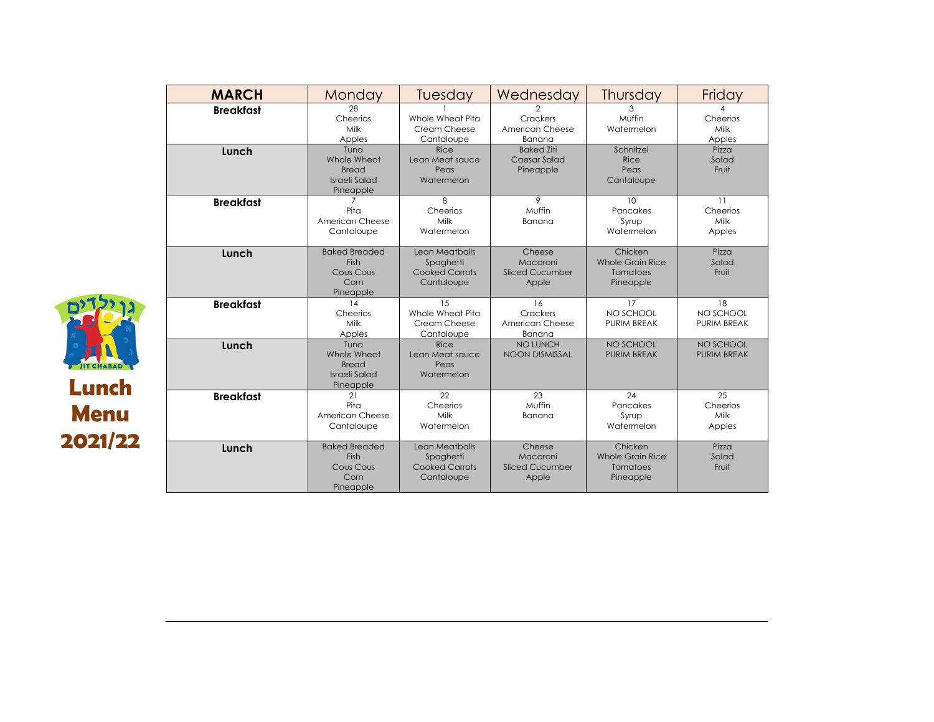| <b>MARCH</b>     | Monday                                                                   | Tuesday                                                            | Wednesday                                             | Thursday                                                    | Friday                                |
|------------------|--------------------------------------------------------------------------|--------------------------------------------------------------------|-------------------------------------------------------|-------------------------------------------------------------|---------------------------------------|
| <b>Breakfast</b> | 28<br>Cheerios<br>Milk<br>Apples                                         | Whole Wheat Pita<br>Cream Cheese<br>Cantaloupe                     | $\mathbf{2}$<br>Crackers<br>American Cheese<br>Banana | 3<br>Muffin<br>Watermelon                                   | 4<br>Cheerios<br>Milk<br>Apples       |
| Lunch            | Tuna<br>Whole Wheat<br><b>Bread</b><br><b>Israeli Salad</b><br>Pineapple | Rice<br>Lean Meat sauce<br>Peas<br>Watermelon                      | <b>Baked Ziti</b><br>Caesar Salad<br>Pineapple        | Schnitzel<br>Rice<br>Peas<br>Cantaloupe                     | Pizza<br>Salad<br>Fruit               |
| <b>Breakfast</b> | 7<br>Pita<br>American Cheese<br>Cantaloupe                               | 8<br>Cheerios<br>Milk<br>Watermelon                                | 9<br>Muffin<br>Banana                                 | 10<br>Pancakes<br>Syrup<br>Watermelon                       | 11<br>Cheerios<br>Milk<br>Apples      |
| Lunch            | <b>Baked Breaded</b><br>Fish<br>Cous Cous<br>Corn<br>Pineapple           | Lean Meatballs<br>Spaghetti<br><b>Cooked Carrots</b><br>Cantaloupe | Cheese<br>Macaroni<br><b>Sliced Cucumber</b><br>Apple | Chicken<br>Whole Grain Rice<br>Tomatoes<br>Pineapple        | Pizza<br>Salad<br>Fruit               |
| <b>Breakfast</b> | 14<br>Cheerios<br>Milk<br>Apples                                         | 15<br>Whole Wheat Pita<br>Cream Cheese<br>Cantaloupe               | 16<br>Crackers<br>American Cheese<br>Banana           | 17<br>NO SCHOOL<br><b>PURIM BREAK</b>                       | 18<br>NO SCHOOL<br><b>PURIM BREAK</b> |
| Lunch            | Tuna<br>Whole Wheat<br><b>Bread</b><br><b>Israeli Salad</b><br>Pineapple | Rice<br>Lean Meat sauce<br>Peas<br>Watermelon                      | NO LUNCH<br><b>NOON DISMISSAL</b>                     | NO SCHOOL<br><b>PURIM BREAK</b>                             | NO SCHOOL<br><b>PURIM BREAK</b>       |
| <b>Breakfast</b> | 21<br>Pita<br>American Cheese<br>Cantaloupe                              | 22<br>Cheerios<br>Milk<br>Watermelon                               | 23<br>Muffin<br>Banana                                | 24<br>Pancakes<br>Syrup<br>Watermelon                       | 25<br>Cheerios<br>Milk<br>Apples      |
| Lunch            | <b>Baked Breaded</b><br>Fish<br>Cous Cous<br>Corn<br>Pineapple           | Lean Meatballs<br>Spaghetti<br><b>Cooked Carrots</b><br>Cantaloupe | Cheese<br>Macaroni<br><b>Sliced Cucumber</b><br>Apple | Chicken<br><b>Whole Grain Rice</b><br>Tomatoes<br>Pineapple | Pizza<br>Salad<br>Fruit               |

**Lunch**

**JIT CHABAD** 

 $D'$ 

**Menu**

**2021/22**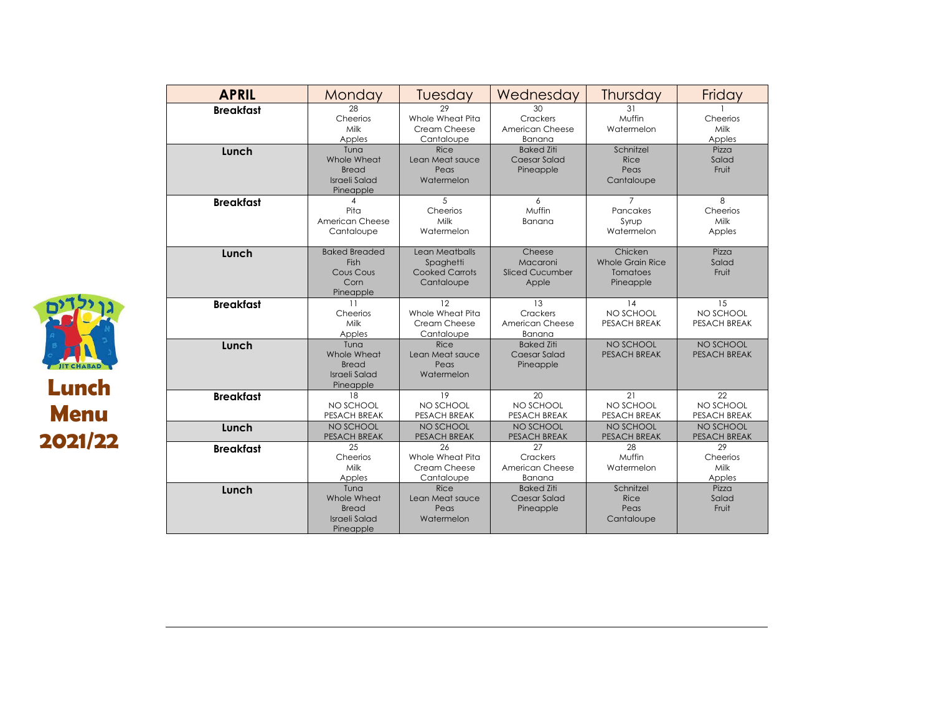| <b>APRIL</b>     | Monday                                                                   | Tuesday                                                            | Wednesday                                             | Thursday                                                    | Friday                                 |
|------------------|--------------------------------------------------------------------------|--------------------------------------------------------------------|-------------------------------------------------------|-------------------------------------------------------------|----------------------------------------|
| <b>Breakfast</b> | 28<br>Cheerios<br>Milk<br>Apples                                         | 29<br>Whole Wheat Pita<br>Cream Cheese<br>Cantaloupe               | 30<br>Crackers<br>American Cheese<br>Banana           | 31<br>Muffin<br>Watermelon                                  | Cheerios<br>Milk<br>Apples             |
| Lunch            | Tuna<br>Whole Wheat<br><b>Bread</b><br>Israeli Salad<br>Pineapple        | Rice<br>Lean Meat sauce<br>Peas<br>Watermelon                      | <b>Baked Ziti</b><br>Caesar Salad<br>Pineapple        | Schnitzel<br>Rice<br>Peas<br>Cantaloupe                     | Pizza<br>Salad<br>Fruit                |
| <b>Breakfast</b> | Pita<br>American Cheese<br>Cantaloupe                                    | 5<br>Cheerios<br>Milk<br>Watermelon                                | 6<br>Muffin<br>Banana                                 | 7<br>Pancakes<br>Syrup<br>Watermelon                        | 8<br>Cheerios<br>Milk<br>Apples        |
| Lunch            | <b>Baked Breaded</b><br><b>Fish</b><br>Cous Cous<br>Corn<br>Pineapple    | Lean Meatballs<br>Spaghetti<br><b>Cooked Carrots</b><br>Cantaloupe | Cheese<br>Macaroni<br><b>Sliced Cucumber</b><br>Apple | Chicken<br><b>Whole Grain Rice</b><br>Tomatoes<br>Pineapple | Pizza<br>Salad<br>Fruit                |
| <b>Breakfast</b> | 11<br>Cheerios<br>Milk<br>Apples                                         | 12<br>Whole Wheat Pita<br>Cream Cheese<br>Cantaloupe               | 13<br>Crackers<br>American Cheese<br>Banana           | 14<br>NO SCHOOL<br><b>PESACH BREAK</b>                      | 15<br>NO SCHOOL<br><b>PESACH BREAK</b> |
| Lunch            | Tuna<br>Whole Wheat<br><b>Bread</b><br><b>Israeli Salad</b><br>Pineapple | Rice<br>Lean Meat sauce<br>Peas<br>Watermelon                      | <b>Baked Ziti</b><br>Caesar Salad<br>Pineapple        | NO SCHOOL<br><b>PESACH BREAK</b>                            | NO SCHOOL<br><b>PESACH BREAK</b>       |
| <b>Breakfast</b> | 18<br>NO SCHOOL<br>PESACH BREAK                                          | 19<br>NO SCHOOL<br>PESACH BREAK                                    | 20<br>NO SCHOOL<br>PESACH BREAK                       | 21<br>NO SCHOOL<br>PESACH BREAK                             | 22<br>NO SCHOOL<br>PESACH BREAK        |
| Lunch            | NO SCHOOL<br>PESACH BREAK                                                | NO SCHOOL<br>PESACH BREAK                                          | NO SCHOOL<br>PESACH BREAK                             | NO SCHOOL<br>PESACH BREAK                                   | NO SCHOOL<br>PESACH BREAK              |
| <b>Breakfast</b> | 25<br>Cheerios<br>Milk<br>Apples                                         | 26<br>Whole Wheat Pita<br>Cream Cheese<br>Cantaloupe               | 27<br>Crackers<br>American Cheese<br>Banana           | 28<br>Muffin<br>Watermelon                                  | 29<br>Cheerios<br>Milk<br>Apples       |
| Lunch            | Tuna<br>Whole Wheat<br>Bread<br><b>Israeli Salad</b><br>Pineapple        | Rice<br>Lean Meat sauce<br>Peas<br>Watermelon                      | <b>Baked Ziti</b><br>Caesar Salad<br>Pineapple        | Schnitzel<br>Rice<br>Peas<br>Cantaloupe                     | Pizza<br>Salad<br>Fruit                |

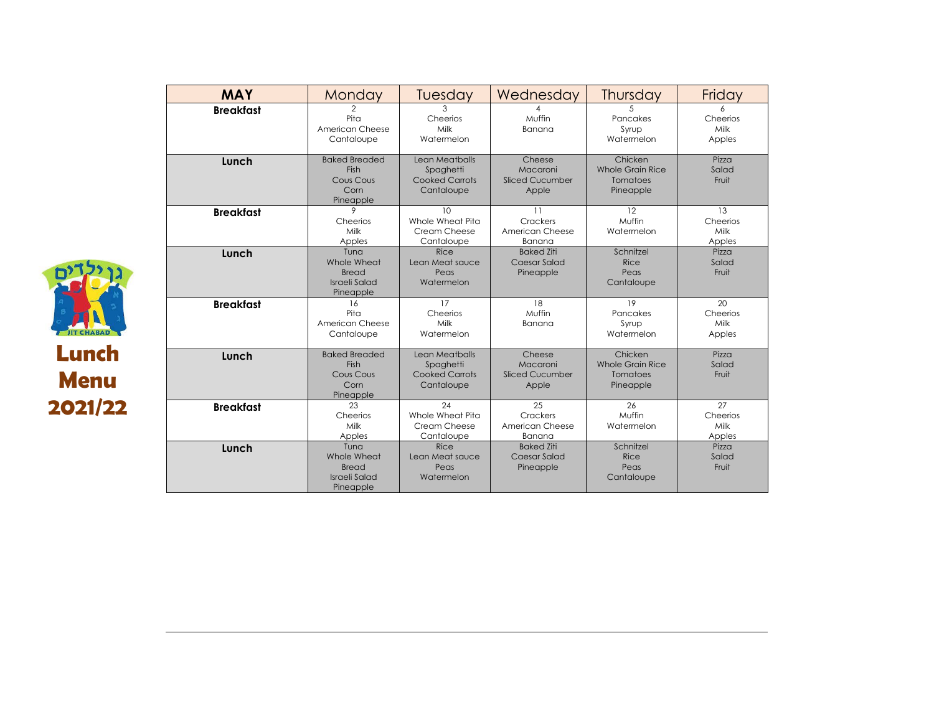| <b>MAY</b>       | Monday                                                            | Tuesday                                                            | Wednesday                                             | Thursday                                                    | Friday                           |
|------------------|-------------------------------------------------------------------|--------------------------------------------------------------------|-------------------------------------------------------|-------------------------------------------------------------|----------------------------------|
| <b>Breakfast</b> | $\overline{2}$<br>Pita<br>American Cheese<br>Cantaloupe           | 3<br>Cheerios<br>Milk<br>Watermelon                                | Muffin<br>Banana                                      | 5<br>Pancakes<br>Syrup<br>Watermelon                        | 6<br>Cheerios<br>Milk<br>Apples  |
| Lunch            | <b>Baked Breaded</b><br>Fish<br>Cous Cous<br>Corn<br>Pineapple    | Lean Meatballs<br>Spaghetti<br><b>Cooked Carrots</b><br>Cantaloupe | Cheese<br>Macaroni<br><b>Sliced Cucumber</b><br>Apple | Chicken<br><b>Whole Grain Rice</b><br>Tomatoes<br>Pineapple | Pizza<br>Salad<br>Fruit          |
| <b>Breakfast</b> | 9<br>Cheerios<br>Milk<br>Apples                                   | 10<br>Whole Wheat Pita<br>Cream Cheese<br>Cantaloupe               | 11<br>Crackers<br>American Cheese<br>Banana           | 12<br>Muffin<br>Watermelon                                  | 13<br>Cheerios<br>Milk<br>Apples |
| Lunch            | Tuna<br>Whole Wheat<br>Bread<br><b>Israeli Salad</b><br>Pineapple | Rice<br>Lean Meat sauce<br>Peas<br>Watermelon                      | <b>Baked Ziti</b><br>Caesar Salad<br>Pineapple        | Schnitzel<br>Rice<br>Peas<br>Cantaloupe                     | Pizza<br>Salad<br>Fruit          |
| <b>Breakfast</b> | 16<br>Pita<br>American Cheese<br>Cantaloupe                       | 17<br>Cheerios<br>Milk<br>Watermelon                               | 18<br>Muffin<br>Banana                                | 19<br>Pancakes<br>Syrup<br>Watermelon                       | 20<br>Cheerios<br>Milk<br>Apples |
| Lunch            | <b>Baked Breaded</b><br>Fish<br>Cous Cous<br>Corn<br>Pineapple    | Lean Meatballs<br>Spaghetti<br><b>Cooked Carrots</b><br>Cantaloupe | Cheese<br>Macaroni<br><b>Sliced Cucumber</b><br>Apple | Chicken<br><b>Whole Grain Rice</b><br>Tomatoes<br>Pineapple | Pizza<br>Salad<br>Fruit          |
| <b>Breakfast</b> | 23<br>Cheerios<br>Milk<br>Apples                                  | 24<br>Whole Wheat Pita<br>Cream Cheese<br>Cantaloupe               | 25<br>Crackers<br>American Cheese<br>Banana           | 26<br>Muffin<br>Watermelon                                  | 27<br>Cheerios<br>Milk<br>Apples |
| Lunch            | Tuna<br>Whole Wheat<br><b>Bread</b><br>Israeli Salad<br>Pineapple | Rice<br>Lean Meat sauce<br>Peas<br>Watermelon                      | <b>Baked Ziti</b><br>Caesar Salad<br>Pineapple        | Schnitzel<br>Rice<br>Peas<br>Cantaloupe                     | Pizza<br>Salad<br>Fruit          |